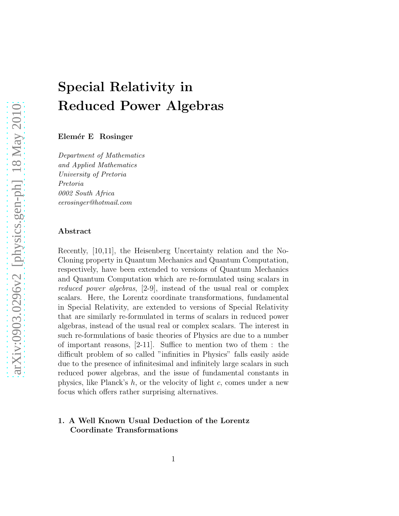# Special Relativity in Reduced Power Algebras

Elemér E Rosinger

Department of Mathematics and Applied Mathematics University of Pretoria Pretoria 0002 South Africa eerosinger@hotmail.com

#### Abstract

Recently, [10,11], the Heisenberg Uncertainty relation and the No-Cloning property in Quantum Mechanics and Quantum Computation, respectively, have been extended to versions of Quantum Mechanics and Quantum Computation which are re-formulated using scalars in reduced power algebras, [2-9], instead of the usual real or complex scalars. Here, the Lorentz coordinate transformations, fundamental in Special Relativity, are extended to versions of Special Relativity that are similarly re-formulated in terms of scalars in reduced power algebras, instead of the usual real or complex scalars. The interest in such re-formulations of basic theories of Physics are due to a number of important reasons, [2-11]. Suffice to mention two of them : the difficult problem of so called "infinities in Physics" falls easily aside due to the presence of infinitesimal and infinitely large scalars in such reduced power algebras, and the issue of fundamental constants in physics, like Planck's  $h$ , or the velocity of light c, comes under a new focus which offers rather surprising alternatives.

# 1. A Well Known Usual Deduction of the Lorentz Coordinate Transformations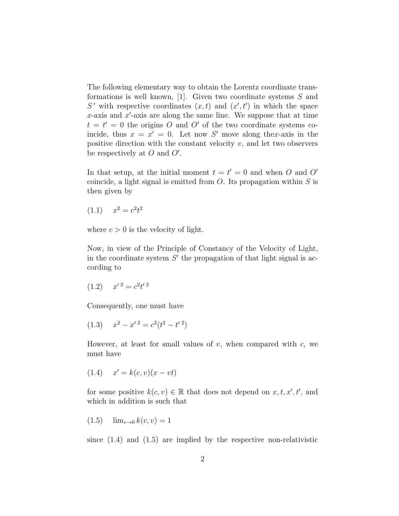The following elementary way to obtain the Lorentz coordinate transformations is well known, [1]. Given two coordinate systems  $S$  and S' with respective coordinates  $(x, t)$  and  $(x', t')$  in which the space  $x$ -axis and  $x'$ -axis are along the same line. We suppose that at time  $t = t' = 0$  the origins O and O' of the two coordinate systems coincide, thus  $x = x' = 0$ . Let now S' move along the x-axis in the positive direction with the constant velocity  $v$ , and let two observers be respectively at  $O$  and  $O'$ .

In that setup, at the initial moment  $t = t' = 0$  and when O and O' coincide, a light signal is emitted from  $O$ . Its propagation within  $S$  is then given by

$$
(1.1) \t x^2 = c^2 t^2
$$

where  $c > 0$  is the velocity of light.

Now, in view of the Principle of Constancy of the Velocity of Light, in the coordinate system  $S'$  the propagation of that light signal is according to

$$
(1.2) \t x'^2 = c^2 t'^2
$$

Consequently, one must have

$$
(1.3) \t x2 - x'2 = c2(t2 - t'2)
$$

However, at least for small values of  $v$ , when compared with  $c$ , we must have

 $(1.4)$  $x' = k(c, v)(x - vt)$ 

for some positive  $k(c, v) \in \mathbb{R}$  that does not depend on  $x, t, x', t'$ , and which in addition is such that

$$
(1.5) \quad \lim_{v \to 0} k(c, v) = 1
$$

since  $(1.4)$  and  $(1.5)$  are implied by the respective non-relativistic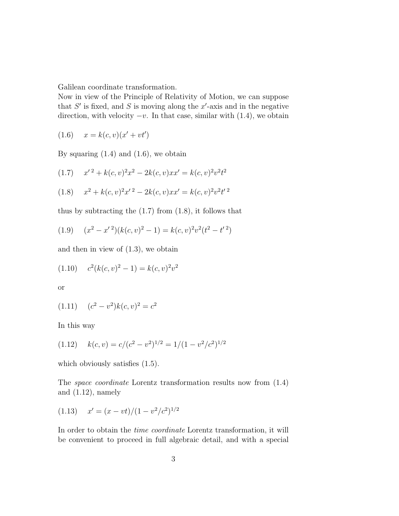Galilean coordinate transformation.

Now in view of the Principle of Relativity of Motion, we can suppose that  $S'$  is fixed, and S is moving along the  $x'$ -axis and in the negative direction, with velocity  $-v$ . In that case, similar with  $(1.4)$ , we obtain

$$
(1.6) \t x = k(c, v)(x' + vt')
$$

By squaring  $(1.4)$  and  $(1.6)$ , we obtain

$$
(1.7) \t x'^2 + k(c, v)^2 x^2 - 2k(c, v) x x' = k(c, v)^2 v^2 t^2
$$

$$
(1.8) \t x2 + k(c, v)2x'2 - 2k(c, v)xx' = k(c, v)2v2t'2
$$

thus by subtracting the  $(1.7)$  from  $(1.8)$ , it follows that

$$
(1.9) \quad (x^2 - x^2)(k(c, v)^2 - 1) = k(c, v)^2 v^2 (t^2 - t^2)
$$

and then in view of (1.3), we obtain

$$
(1.10) \t c2(k(c, v)2 - 1) = k(c, v)2v2
$$

or

$$
(1.11) \quad (c^2 - v^2)k(c, v)^2 = c^2
$$

In this way

$$
(1.12) \quad k(c,v) = c/(c^2 - v^2)^{1/2} = 1/(1 - v^2/c^2)^{1/2}
$$

which obviously satisfies  $(1.5)$ .

The space coordinate Lorentz transformation results now from (1.4) and  $(1.12)$ , namely

$$
(1.13) \t x' = (x - vt)/(1 - v^2/c^2)^{1/2}
$$

In order to obtain the time coordinate Lorentz transformation, it will be convenient to proceed in full algebraic detail, and with a special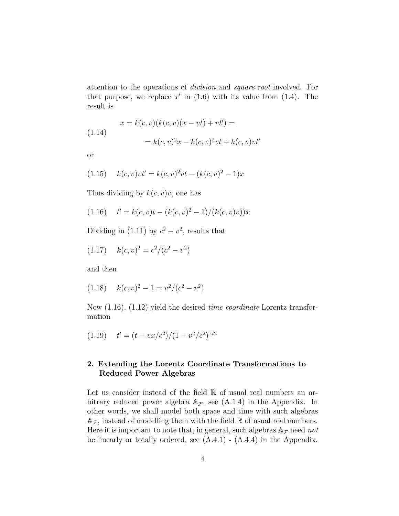attention to the operations of division and square root involved. For that purpose, we replace  $x'$  in (1.6) with its value from (1.4). The result is

$$
x = k(c, v)(k(c, v)(x - vt) + vt') =
$$
  
(1.14)  

$$
= k(c, v)^{2}x - k(c, v)^{2}vt + k(c, v)vt'
$$

$$
\sum_{i=1}^{n} x_i
$$

(1.15) 
$$
k(c, v)vt' = k(c, v)^{2}vt - (k(c, v)^{2} - 1)x
$$

Thus dividing by  $k(c, v)v$ , one has

$$
(1.16) \t t' = k(c, v)t - (k(c, v)^2 - 1)/(k(c, v)v))x
$$

Dividing in (1.11) by  $c^2 - v^2$ , results that

$$
(1.17) \quad k(c,v)^2 = c^2/(c^2 - v^2)
$$

and then

$$
(1.18) \quad k(c,v)^2 - 1 = v^2/(c^2 - v^2)
$$

Now (1.16), (1.12) yield the desired time coordinate Lorentz transformation

$$
(1.19) \t t' = (t - vx/c^2)/(1 - v^2/c^2)^{1/2}
$$

# 2. Extending the Lorentz Coordinate Transformations to Reduced Power Algebras

Let us consider instead of the field  $\mathbb R$  of usual real numbers an arbitrary reduced power algebra  $A_{\mathcal{F}}$ , see (A.1.4) in the Appendix. In other words, we shall model both space and time with such algebras  $A_{\mathcal{F}}$ , instead of modelling them with the field R of usual real numbers. Here it is important to note that, in general, such algebras  $A_{\mathcal{F}}$  need not be linearly or totally ordered, see  $(A.4.1)$  -  $(A.4.4)$  in the Appendix.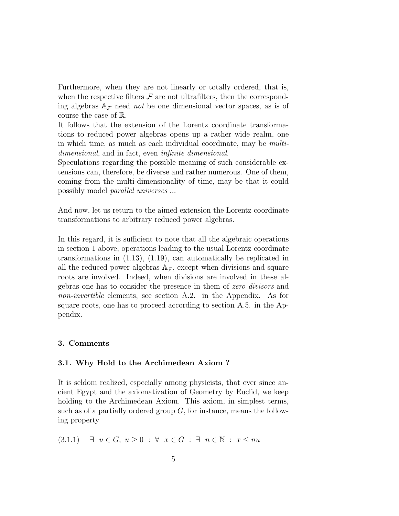Furthermore, when they are not linearly or totally ordered, that is, when the respective filters  $\mathcal F$  are not ultrafilters, then the corresponding algebras  $A_{\mathcal{F}}$  need *not* be one dimensional vector spaces, as is of course the case of R.

It follows that the extension of the Lorentz coordinate transformations to reduced power algebras opens up a rather wide realm, one in which time, as much as each individual coordinate, may be multidimensional, and in fact, even *infinite* dimensional.

Speculations regarding the possible meaning of such considerable extensions can, therefore, be diverse and rather numerous. One of them, coming from the multi-dimensionality of time, may be that it could possibly model parallel universes ...

And now, let us return to the aimed extension the Lorentz coordinate transformations to arbitrary reduced power algebras.

In this regard, it is sufficient to note that all the algebraic operations in section 1 above, operations leading to the usual Lorentz coordinate transformations in (1.13), (1.19), can automatically be replicated in all the reduced power algebras  $A_{\mathcal{F}}$ , except when divisions and square roots are involved. Indeed, when divisions are involved in these algebras one has to consider the presence in them of zero divisors and non-invertible elements, see section A.2. in the Appendix. As for square roots, one has to proceed according to section A.5. in the Appendix.

#### 3. Comments

#### 3.1. Why Hold to the Archimedean Axiom ?

It is seldom realized, especially among physicists, that ever since ancient Egypt and the axiomatization of Geometry by Euclid, we keep holding to the Archimedean Axiom. This axiom, in simplest terms, such as of a partially ordered group  $G$ , for instance, means the following property

$$
(3.1.1) \quad \exists u \in G, u \ge 0 : \forall x \in G : \exists n \in \mathbb{N} : x \le nu
$$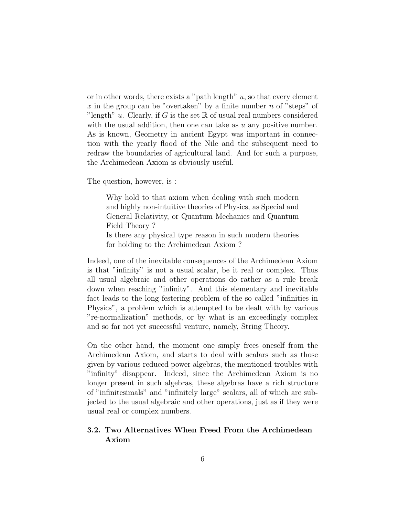or in other words, there exists a "path length"  $u$ , so that every element x in the group can be "overtaken" by a finite number  $n$  of "steps" of "length" u. Clearly, if G is the set  $\mathbb R$  of usual real numbers considered with the usual addition, then one can take as  $u$  any positive number. As is known, Geometry in ancient Egypt was important in connection with the yearly flood of the Nile and the subsequent need to redraw the boundaries of agricultural land. And for such a purpose, the Archimedean Axiom is obviously useful.

The question, however, is :

Why hold to that axiom when dealing with such modern and highly non-intuitive theories of Physics, as Special and General Relativity, or Quantum Mechanics and Quantum Field Theory ?

Is there any physical type reason in such modern theories for holding to the Archimedean Axiom ?

Indeed, one of the inevitable consequences of the Archimedean Axiom is that "infinity" is not a usual scalar, be it real or complex. Thus all usual algebraic and other operations do rather as a rule break down when reaching "infinity". And this elementary and inevitable fact leads to the long festering problem of the so called "infinities in Physics", a problem which is attempted to be dealt with by various "re-normalization" methods, or by what is an exceedingly complex and so far not yet successful venture, namely, String Theory.

On the other hand, the moment one simply frees oneself from the Archimedean Axiom, and starts to deal with scalars such as those given by various reduced power algebras, the mentioned troubles with "infinity" disappear. Indeed, since the Archimedean Axiom is no longer present in such algebras, these algebras have a rich structure of "infinitesimals" and "infinitely large" scalars, all of which are subjected to the usual algebraic and other operations, just as if they were usual real or complex numbers.

# 3.2. Two Alternatives When Freed From the Archimedean Axiom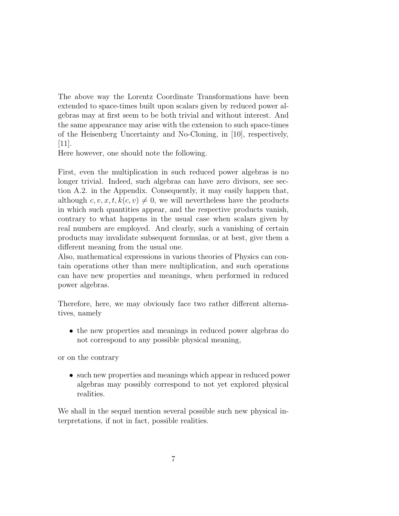The above way the Lorentz Coordinate Transformations have been extended to space-times built upon scalars given by reduced power algebras may at first seem to be both trivial and without interest. And the same appearance may arise with the extension to such space-times of the Heisenberg Uncertainty and No-Cloning, in [10], respectively, [11].

Here however, one should note the following.

First, even the multiplication in such reduced power algebras is no longer trivial. Indeed, such algebras can have zero divisors, see section A.2. in the Appendix. Consequently, it may easily happen that, although  $c, v, x, t, k(c, v) \neq 0$ , we will nevertheless have the products in which such quantities appear, and the respective products vanish, contrary to what happens in the usual case when scalars given by real numbers are employed. And clearly, such a vanishing of certain products may invalidate subsequent formulas, or at best, give them a different meaning from the usual one.

Also, mathematical expressions in various theories of Physics can contain operations other than mere multiplication, and such operations can have new properties and meanings, when performed in reduced power algebras.

Therefore, here, we may obviously face two rather different alternatives, namely

• the new properties and meanings in reduced power algebras do not correspond to any possible physical meaning,

or on the contrary

• such new properties and meanings which appear in reduced power algebras may possibly correspond to not yet explored physical realities.

We shall in the sequel mention several possible such new physical interpretations, if not in fact, possible realities.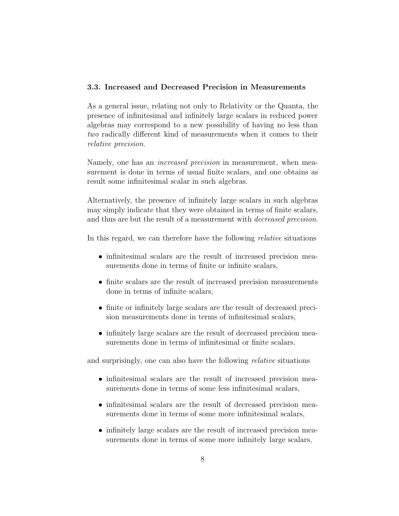### 3.3. Increased and Decreased Precision in Measurements

As a general issue, relating not only to Relativity or the Quanta, the presence of infinitesimal and infinitely large scalars in reduced power algebras may correspond to a new possibility of having no less than two radically different kind of measurements when it comes to their relative precision.

Namely, one has an *increased precision* in measurement, when measurement is done in terms of usual finite scalars, and one obtains as result some infinitesimal scalar in such algebras.

Alternatively, the presence of infinitely large scalars in such algebras may simply indicate that they were obtained in terms of finite scalars, and thus are but the result of a measurement with *decreased precision*.

In this regard, we can therefore have the following relative situations

- infinitesimal scalars are the result of increased precision measurements done in terms of finite or infinite scalars,
- finite scalars are the result of increased precision measurements done in terms of infinite scalars,
- finite or infinitely large scalars are the result of decreased precision measurements done in terms of infinitesimal scalars,
- infinitely large scalars are the result of decreased precision measurements done in terms of infinitesimal or finite scalars.

and surprisingly, one can also have the following *relative* situations

- infinitesimal scalars are the result of increased precision measurements done in terms of some less infinitesimal scalars,
- infinitesimal scalars are the result of decreased precision measurements done in terms of some more infinitesimal scalars,
- infinitely large scalars are the result of increased precision measurements done in terms of some more infinitely large scalars,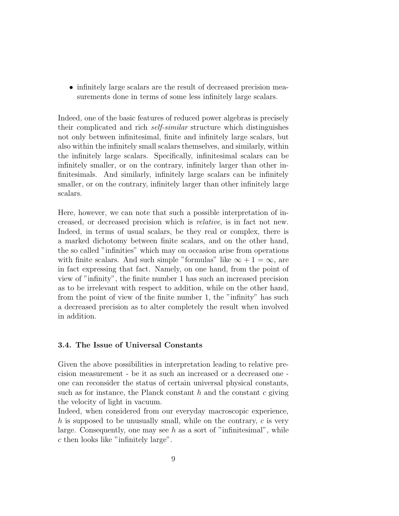• infinitely large scalars are the result of decreased precision measurements done in terms of some less infinitely large scalars.

Indeed, one of the basic features of reduced power algebras is precisely their complicated and rich self-similar structure which distinguishes not only between infinitesimal, finite and infinitely large scalars, but also within the infinitely small scalars themselves, and similarly, within the infinitely large scalars. Specifically, infinitesimal scalars can be infinitely smaller, or on the contrary, infinitely larger than other infinitesimals. And similarly, infinitely large scalars can be infinitely smaller, or on the contrary, infinitely larger than other infinitely large scalars.

Here, however, we can note that such a possible interpretation of increased, or decreased precision which is relative, is in fact not new. Indeed, in terms of usual scalars, be they real or complex, there is a marked dichotomy between finite scalars, and on the other hand, the so called "infinities" which may on occasion arise from operations with finite scalars. And such simple "formulas" like  $\infty + 1 = \infty$ , are in fact expressing that fact. Namely, on one hand, from the point of view of "infinity", the finite number 1 has such an increased precision as to be irrelevant with respect to addition, while on the other hand, from the point of view of the finite number 1, the "infinity" has such a decreased precision as to alter completely the result when involved in addition.

#### 3.4. The Issue of Universal Constants

Given the above possibilities in interpretation leading to relative precision measurement - be it as such an increased or a decreased one one can reconsider the status of certain universal physical constants, such as for instance, the Planck constant h and the constant c giving the velocity of light in vacuum.

Indeed, when considered from our everyday macroscopic experience, h is supposed to be unusually small, while on the contrary,  $c$  is very large. Consequently, one may see  $h$  as a sort of "infinitesimal", while c then looks like "infinitely large".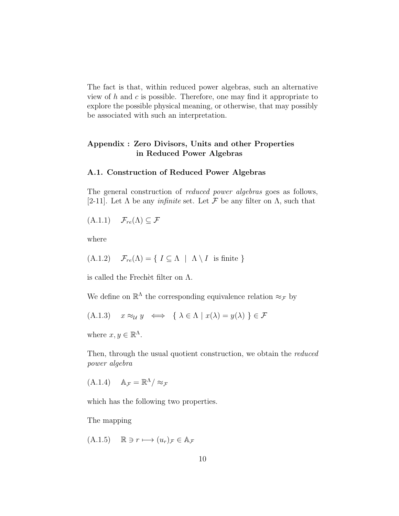The fact is that, within reduced power algebras, such an alternative view of  $h$  and  $c$  is possible. Therefore, one may find it appropriate to explore the possible physical meaning, or otherwise, that may possibly be associated with such an interpretation.

# Appendix : Zero Divisors, Units and other Properties in Reduced Power Algebras

#### A.1. Construction of Reduced Power Algebras

The general construction of reduced power algebras goes as follows, [2-11]. Let  $\Lambda$  be any *infinite* set. Let  $\mathcal F$  be any filter on  $\Lambda$ , such that

 $(A.1.1)$   $\mathcal{F}_{re}(\Lambda) \subseteq \mathcal{F}$ 

where

(A.1.2) 
$$
\mathcal{F}_{re}(\Lambda) = \{ I \subseteq \Lambda \mid \Lambda \setminus I \text{ is finite } \}
$$

is called the Frechet filter on  $\Lambda$ .

We define on  $\mathbb{R}^{\Lambda}$  the corresponding equivalence relation  $\approx_{\mathcal{F}}$  by

$$
(A.1.3) \quad x \approx_{\mathcal{U}} y \iff \{ \lambda \in \Lambda \mid x(\lambda) = y(\lambda) \} \in \mathcal{F}
$$

where  $x, y \in \mathbb{R}^{\Lambda}$ .

Then, through the usual quotient construction, we obtain the *reduced* power algebra

 $(A.1.4)$   $A_{\mathcal{F}} = \mathbb{R}^{\Lambda}/\approx_{\mathcal{F}}$ 

which has the following two properties.

The mapping

 $(A.1.5)$   $\mathbb{R} \ni r \longmapsto (u_r)_{\mathcal{F}} \in \mathbb{A}_{\mathcal{F}}$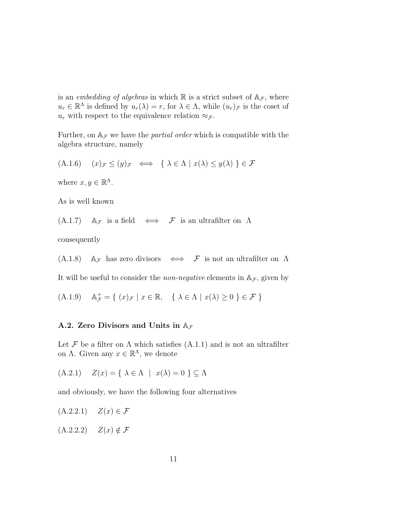is an embedding of algebras in which  $\mathbb R$  is a strict subset of  $A_{\mathcal{F}}$ , where  $u_r \in \mathbb{R}^{\Lambda}$  is defined by  $u_r(\lambda) = r$ , for  $\lambda \in \Lambda$ , while  $(u_r)$  is the coset of  $u_r$  with respect to the equivalence relation  $\approx_{\mathcal{F}}$ .

Further, on  $A_F$  we have the *partial order* which is compatible with the algebra structure, namely

 $(A.1.6)$   $(x)_{\mathcal{F}} \leq (y)_{\mathcal{F}} \iff \{ \lambda \in \Lambda \mid x(\lambda) \leq y(\lambda) \} \in \mathcal{F}$ 

where  $x, y \in \mathbb{R}^{\Lambda}$ .

As is well known

 $(A.1.7)$   $\mathbb{A}_{\mathcal{F}}$  is a field  $\iff$  F is an ultrafilter on  $\Lambda$ 

consequently

(A.1.8)  $\mathbb{A}_{\mathcal{F}}$  has zero divisors  $\iff$  F is not an ultrafilter on  $\Lambda$ 

It will be useful to consider the *non-negative* elements in  $A_{\mathcal{F}}$ , given by

(A.1.9)  $\mathbb{A}_{\mathcal{F}}^+ = \{ (x)_{\mathcal{F}} \mid x \in \mathbb{R}, \{ \lambda \in \Lambda \mid x(\lambda) \geq 0 \} \in \mathcal{F} \}$ 

#### A.2. Zero Divisors and Units in  $A_{\mathcal{F}}$

Let  $\mathcal F$  be a filter on  $\Lambda$  which satisfies  $(A.1.1)$  and is not an ultrafilter on  $\Lambda$ . Given any  $x \in \mathbb{R}^{\Lambda}$ , we denote

 $(A.2.1)$   $Z(x) = \{ \lambda \in \Lambda \mid x(\lambda) = 0 \} \subset \Lambda$ 

and obviously, we have the following four alternatives

$$
(A.2.2.1) \quad Z(x) \in \mathcal{F}
$$

$$
(A.2.2.2) \quad Z(x) \notin \mathcal{F}
$$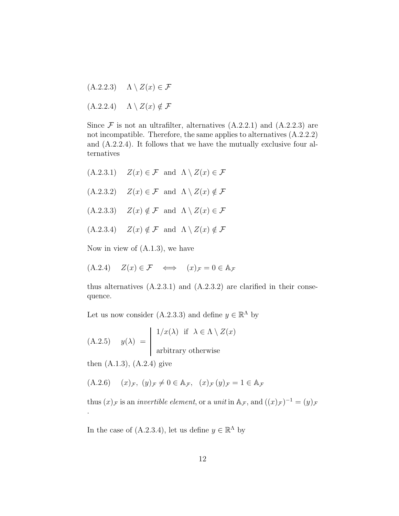- $(A.2.2.3)$   $\Lambda \setminus Z(x) \in \mathcal{F}$
- $(A.2.2.4)$   $\Lambda \setminus Z(x) \notin \mathcal{F}$

Since  $\mathcal F$  is not an ultrafilter, alternatives  $(A.2.2.1)$  and  $(A.2.2.3)$  are not incompatible. Therefore, the same applies to alternatives (A.2.2.2) and (A.2.2.4). It follows that we have the mutually exclusive four alternatives

 $(A.2.3.1)$   $Z(x) \in \mathcal{F}$  and  $\Lambda \setminus Z(x) \in \mathcal{F}$  $(A.2.3.2)$   $Z(x) \in \mathcal{F}$  and  $\Lambda \setminus Z(x) \notin \mathcal{F}$  $(A.2.3.3)$   $Z(x) \notin \mathcal{F}$  and  $\Lambda \setminus Z(x) \in \mathcal{F}$  $(A.2.3.4)$   $Z(x) \notin \mathcal{F}$  and  $\Lambda \setminus Z(x) \notin \mathcal{F}$ 

Now in view of (A.1.3), we have

$$
(A.2.4) \quad Z(x) \in \mathcal{F} \quad \Longleftrightarrow \quad (x)_{\mathcal{F}} = 0 \in A_{\mathcal{F}}
$$

thus alternatives  $(A.2.3.1)$  and  $(A.2.3.2)$  are clarified in their consequence.

Let us now consider (A.2.3.3) and define  $y \in \mathbb{R}^{\Lambda}$  by

(A.2.5) 
$$
y(\lambda) = \begin{cases} 1/x(\lambda) & \text{if } \lambda \in \Lambda \setminus Z(x) \\ \text{arbitrary otherwise} \end{cases}
$$

then  $(A.1.3)$ ,  $(A.2.4)$  give

.

$$
(A.2.6) \quad (x)_{\mathcal{F}}, (y)_{\mathcal{F}} \neq 0 \in A_{\mathcal{F}}, (x)_{\mathcal{F}} (y)_{\mathcal{F}} = 1 \in A_{\mathcal{F}}
$$

thus  $(x)_{\mathcal{F}}$  is an *invertible element*, or a *unit* in  $\mathbb{A}_{\mathcal{F}}$ , and  $((x)_{\mathcal{F}})^{-1} = (y)_{\mathcal{F}}$ 

In the case of  $(A.2.3.4)$ , let us define  $y \in \mathbb{R}^{\Lambda}$  by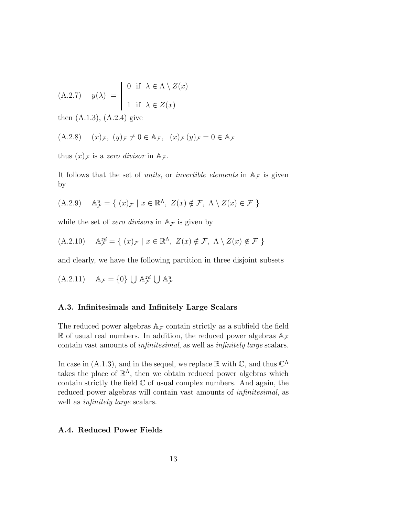(A.2.7) 
$$
y(\lambda) = \begin{cases} 0 & \text{if } \lambda \in \Lambda \setminus Z(x) \\ 1 & \text{if } \lambda \in Z(x) \end{cases}
$$

then (A.1.3), (A.2.4) give

$$
(A.2.8) \quad (x)_{\mathcal{F}}, \ (y)_{\mathcal{F}} \neq 0 \in A_{\mathcal{F}}, \ (x)_{\mathcal{F}} (y)_{\mathcal{F}} = 0 \in A_{\mathcal{F}}
$$

thus  $(x)$ <sub>F</sub> is a zero divisor in  $A$ <sub>F</sub>.

It follows that the set of *units*, or *invertible elements* in  $A<sub>F</sub>$  is given by

(A.2.9) 
$$
\mathbb{A}_{\mathcal{F}}^u = \{ (x)_{\mathcal{F}} \mid x \in \mathbb{R}^{\Lambda}, Z(x) \notin \mathcal{F}, \Lambda \setminus Z(x) \in \mathcal{F} \}
$$

while the set of *zero divisors* in  $A<sub>F</sub>$  is given by

(A.2.10) 
$$
\mathbb{A}_{\mathcal{F}}^{zd} = \{ (x)_{\mathcal{F}} \mid x \in \mathbb{R}^{\Lambda}, Z(x) \notin \mathcal{F}, \Lambda \setminus Z(x) \notin \mathcal{F} \}
$$

and clearly, we have the following partition in three disjoint subsets

(A.2.11) 
$$
\mathbb{A}_{\mathcal{F}} = \{0\} \cup \mathbb{A}_{\mathcal{F}}^{zd} \cup \mathbb{A}_{\mathcal{F}}^{u}
$$

#### A.3. Infinitesimals and Infinitely Large Scalars

The reduced power algebras  $A_{\mathcal{F}}$  contain strictly as a subfield the field R of usual real numbers. In addition, the reduced power algebras  $A_{\mathcal{F}}$ contain vast amounts of infinitesimal, as well as infinitely large scalars.

In case in (A.1.3), and in the sequel, we replace  $\mathbb R$  with  $\mathbb C$ , and thus  $\mathbb C^{\Lambda}$ takes the place of  $\mathbb{R}^{\Lambda}$ , then we obtain reduced power algebras which contain strictly the field  $\mathbb C$  of usual complex numbers. And again, the reduced power algebras will contain vast amounts of *infinitesimal*, as well as *infinitely large* scalars.

#### A.4. Reduced Power Fields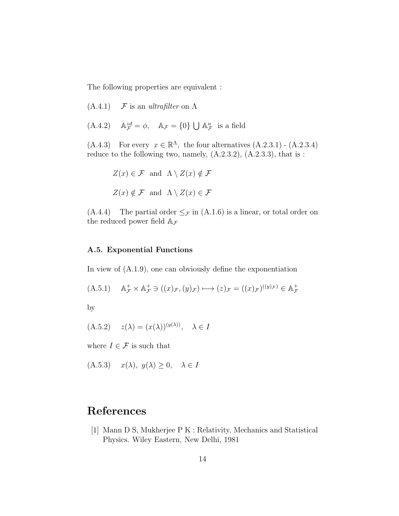The following properties are equivalent :

- $(A.4.1)$  F is an ultrafilter on  $\Lambda$
- $(A.4.2)$  $z^d_\mathcal{F} = \phi$ ,  $\mathbb{A}_\mathcal{F} = \{0\} \bigcup \mathbb{A}_\mathcal{F}^u$  is a field

 $(A.4.3)$  For every  $x \in \mathbb{R}^{\Lambda}$ , the four alternatives  $(A.2.3.1)$  -  $(A.2.3.4)$ reduce to the following two, namely, (A.2.3.2), (A.2.3.3), that is :

$$
Z(x) \in \mathcal{F} \text{ and } \Lambda \setminus Z(x) \notin \mathcal{F}
$$
  

$$
Z(x) \notin \mathcal{F} \text{ and } \Lambda \setminus Z(x) \in \mathcal{F}
$$

 $(A.4.4)$  The partial order  $\leq_{\mathcal{F}}$  in  $(A.1.6)$  is a linear, or total order on the reduced power field  $A_{\mathcal{F}}$ 

#### A.5. Exponential Functions

In view of (A.1.9), one can obviously define the exponentiation

$$
(A.5.1) \quad \mathbb{A}_{\mathcal{F}}^{+} \times \mathbb{A}_{\mathcal{F}}^{+} \ni ((x)_{\mathcal{F}}, (y)_{\mathcal{F}}) \longmapsto (z)_{\mathcal{F}} = ((x)_{\mathcal{F}})^{((y)_{\mathcal{F}})} \in \mathbb{A}_{\mathcal{F}}^{+}
$$

by

 $(A.5.2)$   $z(\lambda) = (x(\lambda))^{(y(\lambda))}, \lambda \in I$ 

where  $I \in \mathcal{F}$  is such that

 $(A.5.3)$   $x(\lambda), y(\lambda) \geq 0, \lambda \in I$ 

# References

[1] Mann D S, Mukherjee P K : Relativity, Mechanics and Statistical Physics. Wiley Eastern, New Delhi, 1981